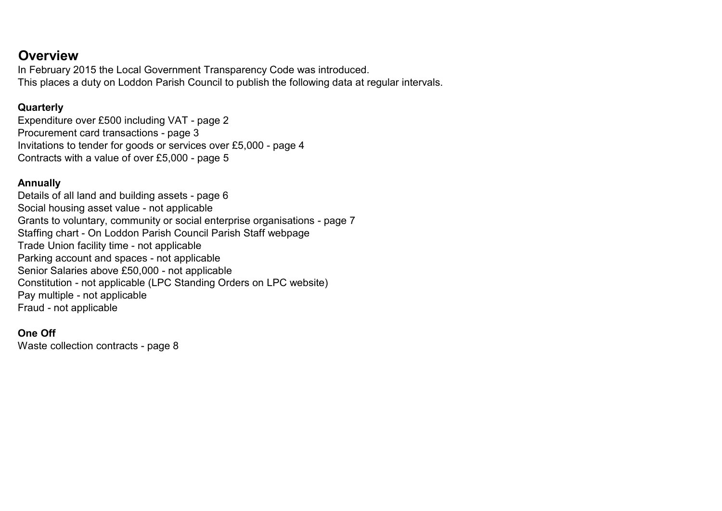### **Overview**

In February 2015 the Local Government Transparency Code was introduced. This places a duty on Loddon Parish Council to publish the following data at regular intervals.

#### **Quarterly**

Expenditure over £500 including VAT - page 2 Procurement card transactions - page 3 Invitations to tender for goods or services over £5,000 - page 4 Contracts with a value of over £5,000 - page 5

#### Annually

Details of all land and building assets - page 6 Social housing asset value - not applicable Grants to voluntary, community or social enterprise organisations - page 7 Staffing chart - On Loddon Parish Council Parish Staff webpage Trade Union facility time - not applicable Parking account and spaces - not applicable Senior Salaries above £50,000 - not applicable Constitution - not applicable (LPC Standing Orders on LPC website) Pay multiple - not applicable Fraud - not applicable

#### One Off

Waste collection contracts - page 8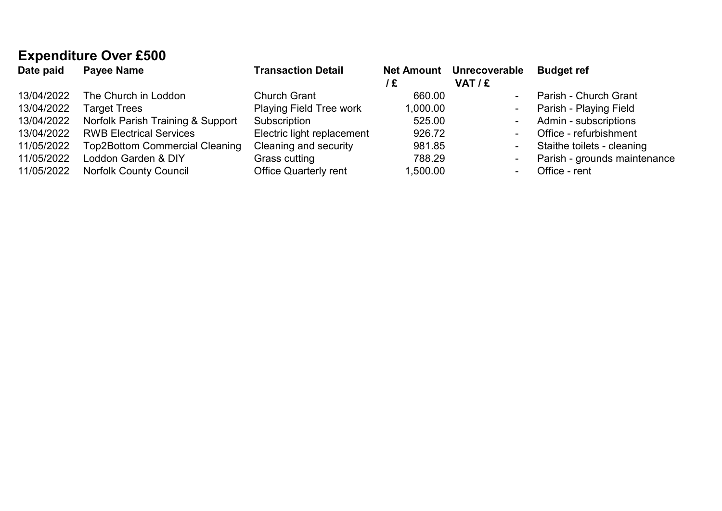# Expenditure Over £500

| Date paid  | <b>Payee Name</b>                     | <b>Transaction Detail</b>      | /£       | Net Amount Unrecoverable<br>VAT/E | <b>Budget ref</b>            |
|------------|---------------------------------------|--------------------------------|----------|-----------------------------------|------------------------------|
| 13/04/2022 | The Church in Loddon                  | <b>Church Grant</b>            | 660.00   | $\blacksquare$                    | Parish - Church Grant        |
| 13/04/2022 | <b>Target Trees</b>                   | <b>Playing Field Tree work</b> | 1,000.00 | $\sim$                            | Parish - Playing Field       |
| 13/04/2022 | Norfolk Parish Training & Support     | Subscription                   | 525.00   | $\blacksquare$                    | Admin - subscriptions        |
| 13/04/2022 | <b>RWB Electrical Services</b>        | Electric light replacement     | 926.72   | $\blacksquare$                    | Office - refurbishment       |
| 11/05/2022 | <b>Top2Bottom Commercial Cleaning</b> | Cleaning and security          | 981.85   | $\blacksquare$                    | Staithe toilets - cleaning   |
| 11/05/2022 | Loddon Garden & DIY                   | Grass cutting                  | 788.29   | $\overline{\phantom{a}}$          | Parish - grounds maintenance |
| 11/05/2022 | <b>Norfolk County Council</b>         | <b>Office Quarterly rent</b>   | 1,500.00 | $\sim$                            | Office - rent                |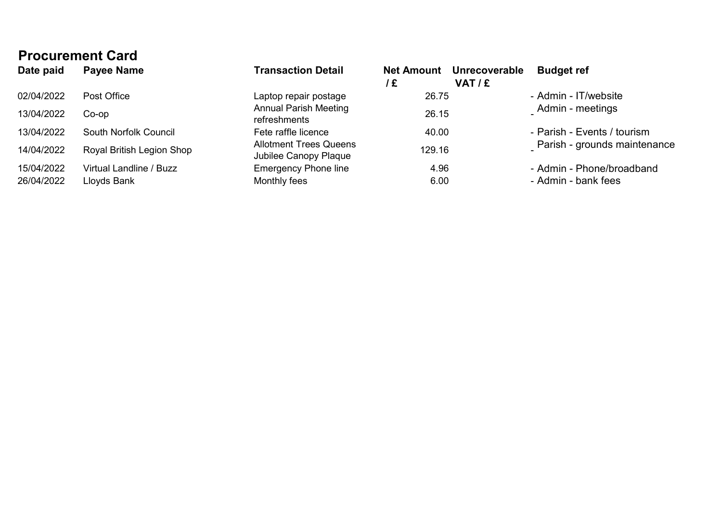| <b>Procurement Card</b>   |                                                        |                         |                          |                                                   |  |  |  |
|---------------------------|--------------------------------------------------------|-------------------------|--------------------------|---------------------------------------------------|--|--|--|
| Payee Name                | <b>Transaction Detail</b>                              | <b>Net Amount</b><br>/£ | Unrecoverable<br>VAT / £ | <b>Budget ref</b>                                 |  |  |  |
| Post Office               | Laptop repair postage                                  |                         |                          | - Admin - IT/website                              |  |  |  |
| $Co$ -op                  | <b>Annual Parish Meeting</b><br>refreshments           |                         |                          | Admin - meetings                                  |  |  |  |
| South Norfolk Council     | Fete raffle licence                                    |                         |                          | - Parish - Events / tourism                       |  |  |  |
| Royal British Legion Shop | <b>Allotment Trees Queens</b><br>Jubilee Canopy Plaque |                         |                          | Parish - grounds maintenance                      |  |  |  |
| Virtual Landline / Buzz   | <b>Emergency Phone line</b>                            |                         |                          | - Admin - Phone/broadband                         |  |  |  |
| Lloyds Bank               | Monthly fees                                           |                         |                          | - Admin - bank fees                               |  |  |  |
|                           |                                                        |                         |                          | 26.75<br>26.15<br>40.00<br>129.16<br>4.96<br>6.00 |  |  |  |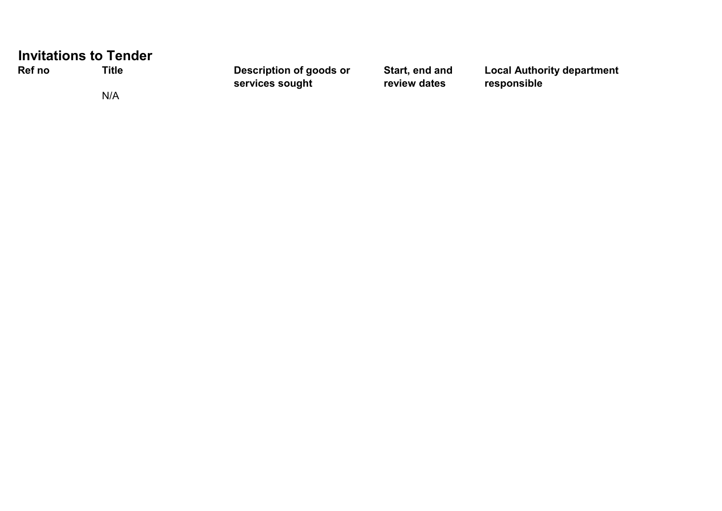|        | <b>Invitations to Tender</b> |                                            |                                |                                                  |
|--------|------------------------------|--------------------------------------------|--------------------------------|--------------------------------------------------|
| Ref no | Title                        | Description of goods or<br>services sought | Start, end and<br>review dates | <b>Local Authority department</b><br>responsible |
|        | N/A                          |                                            |                                |                                                  |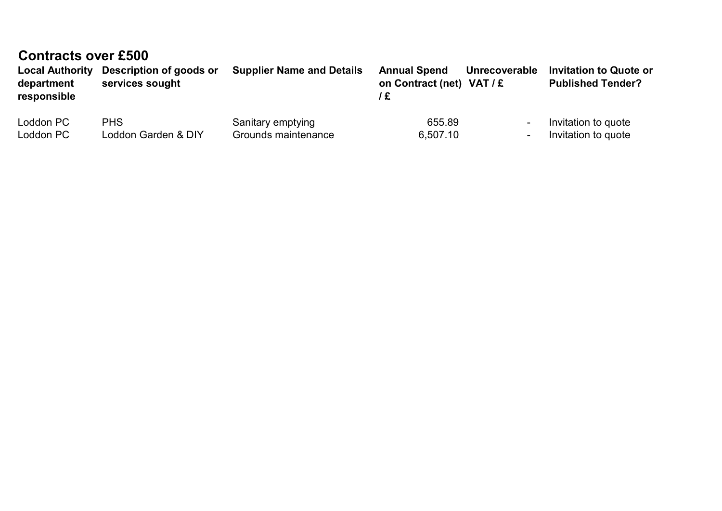## Contracts over £500

| <b>Local Authority</b><br>department<br>responsible | Description of goods or<br>services sought | <b>Supplier Name and Details</b> | <b>Annual Spend</b><br>on Contract (net) $VAT / E$ | Unrecoverable  | <b>Invitation to Quote or</b><br><b>Published Tender?</b> |
|-----------------------------------------------------|--------------------------------------------|----------------------------------|----------------------------------------------------|----------------|-----------------------------------------------------------|
| Loddon PC                                           | <b>PHS</b>                                 | Sanitary emptying                | 655.89                                             | $\blacksquare$ | Invitation to quote                                       |
| Loddon PC                                           | Loddon Garden & DIY                        | Grounds maintenance              | 6,507.10                                           | $\blacksquare$ | Invitation to quote                                       |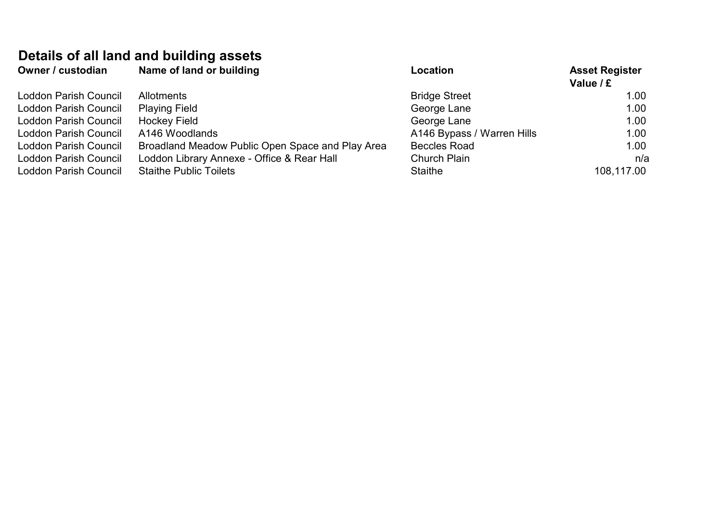# Details of all land and building assets

| Owner / custodian            | Name of land or building                         | Location                   | <b>Asset Register</b><br>Value / £ |
|------------------------------|--------------------------------------------------|----------------------------|------------------------------------|
| <b>Loddon Parish Council</b> | <b>Allotments</b>                                | <b>Bridge Street</b>       | 1.00 <sub>1</sub>                  |
| Loddon Parish Council        | <b>Playing Field</b>                             | George Lane                | 1.00                               |
| Loddon Parish Council        | <b>Hockey Field</b>                              | George Lane                | 1.00                               |
| Loddon Parish Council        | A146 Woodlands                                   | A146 Bypass / Warren Hills | 1.00                               |
| Loddon Parish Council        | Broadland Meadow Public Open Space and Play Area | <b>Beccles Road</b>        | 1.00                               |
| Loddon Parish Council        | Loddon Library Annexe - Office & Rear Hall       | <b>Church Plain</b>        | n/a                                |
| <b>Loddon Parish Council</b> | <b>Staithe Public Toilets</b>                    | Staithe                    | 108,117.00                         |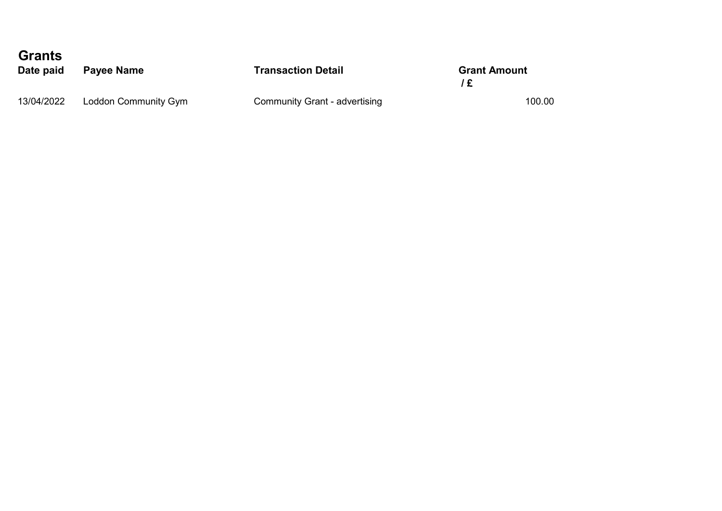| <b>Grants</b><br>Date paid | Payee Name           | <b>Transaction Detail</b>     | <b>Grant Amount</b><br>Ι£ |  |
|----------------------------|----------------------|-------------------------------|---------------------------|--|
| 13/04/2022                 | Loddon Community Gym | Community Grant - advertising | 100.00                    |  |